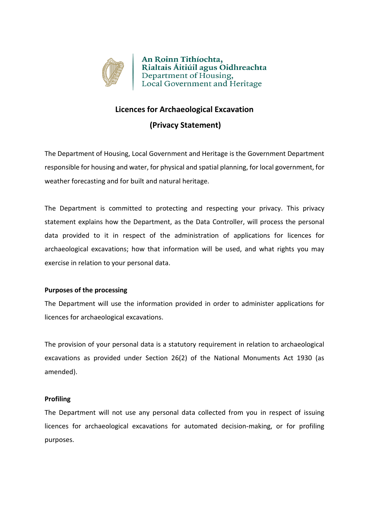

An Roinn Tithíochta, Rialtais Áitiúil agus Oidhreachta Department of Housing, Local Government and Heritage

# **Licences for Archaeological Excavation**

# **(Privacy Statement)**

The Department of Housing, Local Government and Heritage is the Government Department responsible for housing and water, for physical and spatial planning, for local government, for weather forecasting and for built and natural heritage.

The Department is committed to protecting and respecting your privacy. This privacy statement explains how the Department, as the Data Controller, will process the personal data provided to it in respect of the administration of applications for licences for archaeological excavations; how that information will be used, and what rights you may exercise in relation to your personal data.

## **Purposes of the processing**

The Department will use the information provided in order to administer applications for licences for archaeological excavations.

The provision of your personal data is a statutory requirement in relation to archaeological excavations as provided under Section 26(2) of the National Monuments Act 1930 (as amended).

## **Profiling**

The Department will not use any personal data collected from you in respect of issuing licences for archaeological excavations for automated decision-making, or for profiling purposes.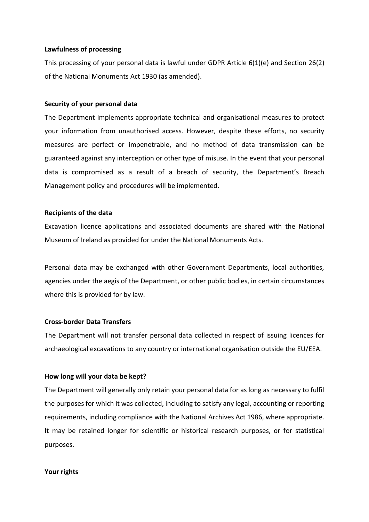#### **Lawfulness of processing**

This processing of your personal data is lawful under GDPR Article 6(1)(e) and Section 26(2) of the National Monuments Act 1930 (as amended).

#### **Security of your personal data**

The Department implements appropriate technical and organisational measures to protect your information from unauthorised access. However, despite these efforts, no security measures are perfect or impenetrable, and no method of data transmission can be guaranteed against any interception or other type of misuse. In the event that your personal data is compromised as a result of a breach of security, the Department's Breach Management policy and procedures will be implemented.

#### **Recipients of the data**

Excavation licence applications and associated documents are shared with the National Museum of Ireland as provided for under the National Monuments Acts.

Personal data may be exchanged with other Government Departments, local authorities, agencies under the aegis of the Department, or other public bodies, in certain circumstances where this is provided for by law.

## **Cross-border Data Transfers**

The Department will not transfer personal data collected in respect of issuing licences for archaeological excavations to any country or international organisation outside the EU/EEA.

## **How long will your data be kept?**

The Department will generally only retain your personal data for as long as necessary to fulfil the purposes for which it was collected, including to satisfy any legal, accounting or reporting requirements, including compliance with the National Archives Act 1986, where appropriate. It may be retained longer for scientific or historical research purposes, or for statistical purposes.

#### **Your rights**